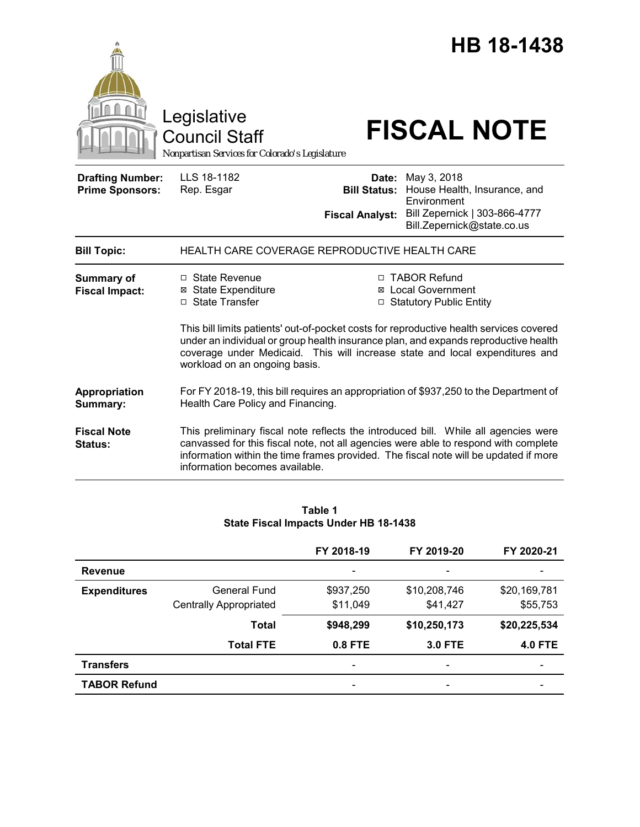|                                                   | Legislative<br><b>Council Staff</b><br>Nonpartisan Services for Colorado's Legislature                                                                                                                                                                                                                                                                                                                                                                |                                               | HB 18-1438<br><b>FISCAL NOTE</b>                                                                                                                                                                                                                                  |
|---------------------------------------------------|-------------------------------------------------------------------------------------------------------------------------------------------------------------------------------------------------------------------------------------------------------------------------------------------------------------------------------------------------------------------------------------------------------------------------------------------------------|-----------------------------------------------|-------------------------------------------------------------------------------------------------------------------------------------------------------------------------------------------------------------------------------------------------------------------|
| <b>Drafting Number:</b><br><b>Prime Sponsors:</b> | LLS 18-1182<br>Rep. Esgar                                                                                                                                                                                                                                                                                                                                                                                                                             | <b>Bill Status:</b><br><b>Fiscal Analyst:</b> | <b>Date:</b> May 3, 2018<br>House Health, Insurance, and<br>Environment<br>Bill Zepernick   303-866-4777<br>Bill.Zepernick@state.co.us                                                                                                                            |
| <b>Bill Topic:</b>                                | HEALTH CARE COVERAGE REPRODUCTIVE HEALTH CARE                                                                                                                                                                                                                                                                                                                                                                                                         |                                               |                                                                                                                                                                                                                                                                   |
| <b>Summary of</b><br><b>Fiscal Impact:</b>        | $\Box$ State Revenue<br>□ TABOR Refund<br><b>⊠</b> State Expenditure<br><b>⊠</b> Local Government<br>□ State Transfer<br>□ Statutory Public Entity<br>This bill limits patients' out-of-pocket costs for reproductive health services covered<br>under an individual or group health insurance plan, and expands reproductive health<br>coverage under Medicaid. This will increase state and local expenditures and<br>workload on an ongoing basis. |                                               |                                                                                                                                                                                                                                                                   |
| Appropriation<br>Summary:                         | Health Care Policy and Financing.                                                                                                                                                                                                                                                                                                                                                                                                                     |                                               | For FY 2018-19, this bill requires an appropriation of \$937,250 to the Department of                                                                                                                                                                             |
| <b>Fiscal Note</b><br>Status:                     | information becomes available.                                                                                                                                                                                                                                                                                                                                                                                                                        |                                               | This preliminary fiscal note reflects the introduced bill. While all agencies were<br>canvassed for this fiscal note, not all agencies were able to respond with complete<br>information within the time frames provided. The fiscal note will be updated if more |

| Table 1                               |  |
|---------------------------------------|--|
| State Fiscal Impacts Under HB 18-1438 |  |

|                     |                               | FY 2018-19 | FY 2019-20     | FY 2020-21     |
|---------------------|-------------------------------|------------|----------------|----------------|
| <b>Revenue</b>      |                               | -          | -              |                |
| <b>Expenditures</b> | <b>General Fund</b>           | \$937,250  | \$10,208,746   | \$20,169,781   |
|                     | <b>Centrally Appropriated</b> | \$11,049   | \$41,427       | \$55,753       |
|                     | <b>Total</b>                  | \$948,299  | \$10,250,173   | \$20,225,534   |
|                     | <b>Total FTE</b>              | 0.8 FTE    | <b>3.0 FTE</b> | <b>4.0 FTE</b> |
| <b>Transfers</b>    |                               |            | -              |                |
| <b>TABOR Refund</b> |                               | ۰          | -              |                |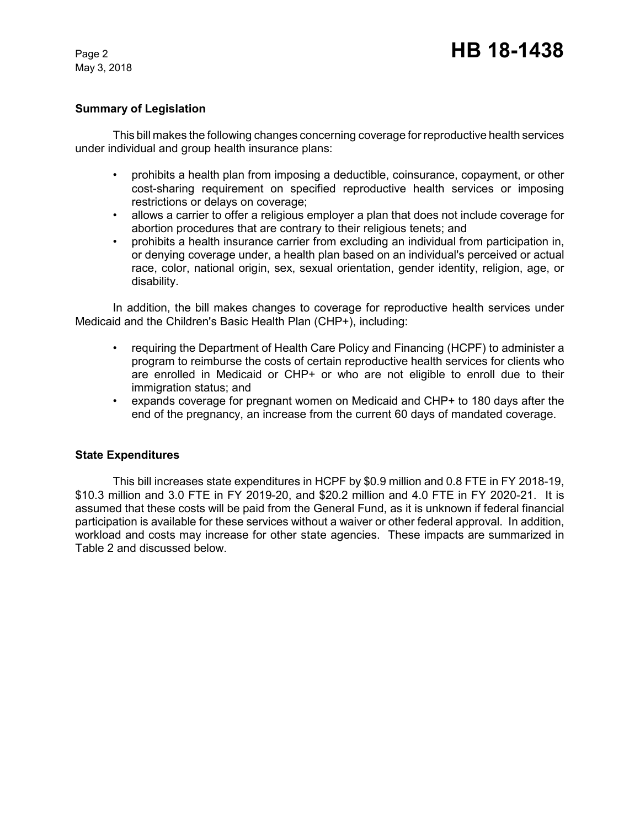May 3, 2018

# **Summary of Legislation**

This bill makes the following changes concerning coverage for reproductive health services under individual and group health insurance plans:

- prohibits a health plan from imposing a deductible, coinsurance, copayment, or other cost-sharing requirement on specified reproductive health services or imposing restrictions or delays on coverage;
- allows a carrier to offer a religious employer a plan that does not include coverage for abortion procedures that are contrary to their religious tenets; and
- prohibits a health insurance carrier from excluding an individual from participation in, or denying coverage under, a health plan based on an individual's perceived or actual race, color, national origin, sex, sexual orientation, gender identity, religion, age, or disability.

In addition, the bill makes changes to coverage for reproductive health services under Medicaid and the Children's Basic Health Plan (CHP+), including:

- requiring the Department of Health Care Policy and Financing (HCPF) to administer a program to reimburse the costs of certain reproductive health services for clients who are enrolled in Medicaid or CHP+ or who are not eligible to enroll due to their immigration status; and
- expands coverage for pregnant women on Medicaid and CHP+ to 180 days after the end of the pregnancy, an increase from the current 60 days of mandated coverage.

#### **State Expenditures**

This bill increases state expenditures in HCPF by \$0.9 million and 0.8 FTE in FY 2018-19, \$10.3 million and 3.0 FTE in FY 2019-20, and \$20.2 million and 4.0 FTE in FY 2020-21. It is assumed that these costs will be paid from the General Fund, as it is unknown if federal financial participation is available for these services without a waiver or other federal approval. In addition, workload and costs may increase for other state agencies. These impacts are summarized in Table 2 and discussed below.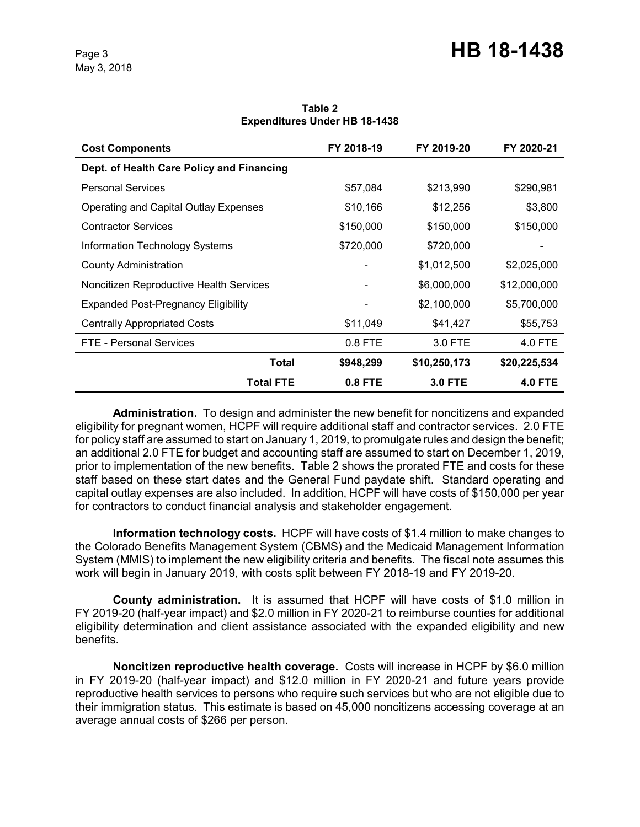| <b>Cost Components</b>                    | FY 2018-19 | FY 2019-20     | FY 2020-21     |
|-------------------------------------------|------------|----------------|----------------|
| Dept. of Health Care Policy and Financing |            |                |                |
| <b>Personal Services</b>                  | \$57,084   | \$213,990      | \$290,981      |
| Operating and Capital Outlay Expenses     | \$10,166   | \$12,256       | \$3,800        |
| <b>Contractor Services</b>                | \$150,000  | \$150,000      | \$150,000      |
| Information Technology Systems            | \$720,000  | \$720,000      |                |
| <b>County Administration</b>              |            | \$1,012,500    | \$2,025,000    |
| Noncitizen Reproductive Health Services   |            | \$6,000,000    | \$12,000,000   |
| Expanded Post-Pregnancy Eligibility       |            | \$2,100,000    | \$5,700,000    |
| <b>Centrally Appropriated Costs</b>       | \$11,049   | \$41,427       | \$55,753       |
| FTE - Personal Services                   | 0.8 FTE    | 3.0 FTE        | 4.0 FTE        |
| Total                                     | \$948,299  | \$10,250,173   | \$20,225,534   |
| <b>Total FTE</b>                          | $0.8$ FTE  | <b>3.0 FTE</b> | <b>4.0 FTE</b> |

**Table 2 Expenditures Under HB 18-1438**

**Administration.** To design and administer the new benefit for noncitizens and expanded eligibility for pregnant women, HCPF will require additional staff and contractor services. 2.0 FTE for policy staff are assumed to start on January 1, 2019, to promulgate rules and design the benefit; an additional 2.0 FTE for budget and accounting staff are assumed to start on December 1, 2019, prior to implementation of the new benefits. Table 2 shows the prorated FTE and costs for these staff based on these start dates and the General Fund paydate shift. Standard operating and capital outlay expenses are also included. In addition, HCPF will have costs of \$150,000 per year for contractors to conduct financial analysis and stakeholder engagement.

**Information technology costs.** HCPF will have costs of \$1.4 million to make changes to the Colorado Benefits Management System (CBMS) and the Medicaid Management Information System (MMIS) to implement the new eligibility criteria and benefits. The fiscal note assumes this work will begin in January 2019, with costs split between FY 2018-19 and FY 2019-20.

**County administration.** It is assumed that HCPF will have costs of \$1.0 million in FY 2019-20 (half-year impact) and \$2.0 million in FY 2020-21 to reimburse counties for additional eligibility determination and client assistance associated with the expanded eligibility and new benefits.

**Noncitizen reproductive health coverage.** Costs will increase in HCPF by \$6.0 million in FY 2019-20 (half-year impact) and \$12.0 million in FY 2020-21 and future years provide reproductive health services to persons who require such services but who are not eligible due to their immigration status. This estimate is based on 45,000 noncitizens accessing coverage at an average annual costs of \$266 per person.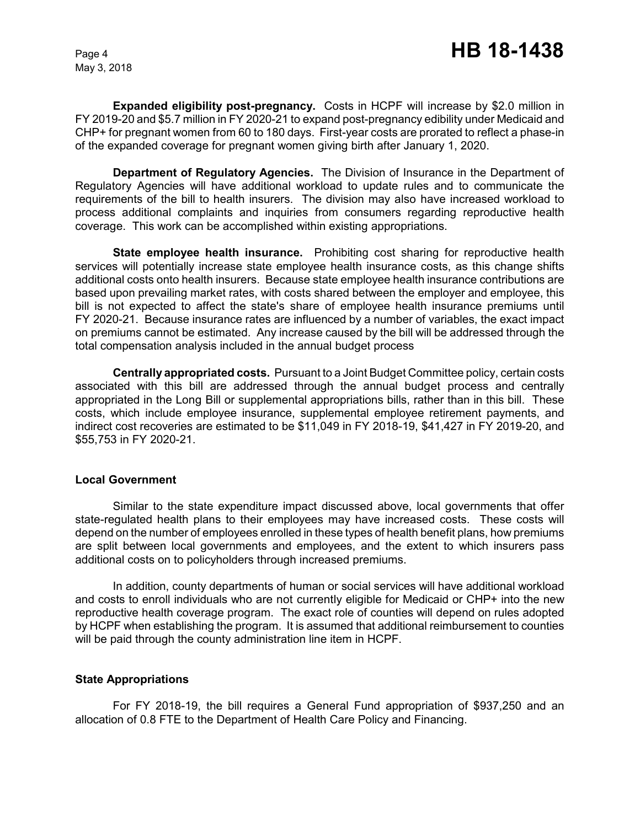**Expanded eligibility post-pregnancy.** Costs in HCPF will increase by \$2.0 million in FY 2019-20 and \$5.7 million in FY 2020-21 to expand post-pregnancy edibility under Medicaid and CHP+ for pregnant women from 60 to 180 days. First-year costs are prorated to reflect a phase-in of the expanded coverage for pregnant women giving birth after January 1, 2020.

**Department of Regulatory Agencies.** The Division of Insurance in the Department of Regulatory Agencies will have additional workload to update rules and to communicate the requirements of the bill to health insurers. The division may also have increased workload to process additional complaints and inquiries from consumers regarding reproductive health coverage. This work can be accomplished within existing appropriations.

**State employee health insurance.** Prohibiting cost sharing for reproductive health services will potentially increase state employee health insurance costs, as this change shifts additional costs onto health insurers. Because state employee health insurance contributions are based upon prevailing market rates, with costs shared between the employer and employee, this bill is not expected to affect the state's share of employee health insurance premiums until FY 2020-21. Because insurance rates are influenced by a number of variables, the exact impact on premiums cannot be estimated. Any increase caused by the bill will be addressed through the total compensation analysis included in the annual budget process

**Centrally appropriated costs.** Pursuant to a Joint Budget Committee policy, certain costs associated with this bill are addressed through the annual budget process and centrally appropriated in the Long Bill or supplemental appropriations bills, rather than in this bill. These costs, which include employee insurance, supplemental employee retirement payments, and indirect cost recoveries are estimated to be \$11,049 in FY 2018-19, \$41,427 in FY 2019-20, and \$55,753 in FY 2020-21.

#### **Local Government**

Similar to the state expenditure impact discussed above, local governments that offer state-regulated health plans to their employees may have increased costs. These costs will depend on the number of employees enrolled in these types of health benefit plans, how premiums are split between local governments and employees, and the extent to which insurers pass additional costs on to policyholders through increased premiums.

In addition, county departments of human or social services will have additional workload and costs to enroll individuals who are not currently eligible for Medicaid or CHP+ into the new reproductive health coverage program. The exact role of counties will depend on rules adopted by HCPF when establishing the program. It is assumed that additional reimbursement to counties will be paid through the county administration line item in HCPF.

#### **State Appropriations**

For FY 2018-19, the bill requires a General Fund appropriation of \$937,250 and an allocation of 0.8 FTE to the Department of Health Care Policy and Financing.